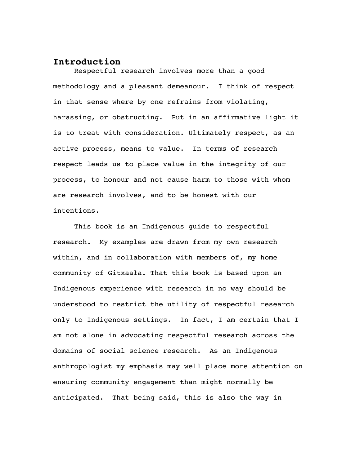## **Introduction**

Respectful research involves more than a good methodology and a pleasant demeanour. I think of respect in that sense where by one refrains from violating, harassing, or obstructing. Put in an affirmative light it is to treat with consideration. Ultimately respect, as an active process, means to value. In terms of research respect leads us to place value in the integrity of our process, to honour and not cause harm to those with whom are research involves, and to be honest with our intentions.

This book is an Indigenous guide to respectful research. My examples are drawn from my own research within, and in collaboration with members of, my home community of Gitxaała. That this book is based upon an Indigenous experience with research in no way should be understood to restrict the utility of respectful research only to Indigenous settings. In fact, I am certain that I am not alone in advocating respectful research across the domains of social science research. As an Indigenous anthropologist my emphasis may well place more attention on ensuring community engagement than might normally be anticipated. That being said, this is also the way in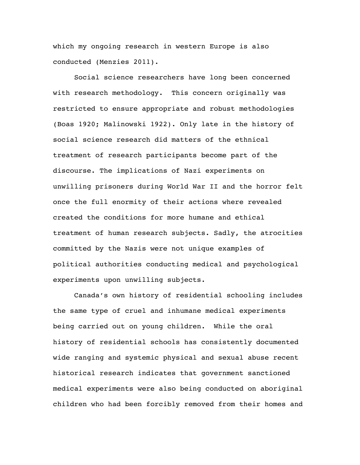which my ongoing research in western Europe is also conducted (Menzies 2011).

Social science researchers have long been concerned with research methodology. This concern originally was restricted to ensure appropriate and robust methodologies (Boas 1920; Malinowski 1922). Only late in the history of social science research did matters of the ethnical treatment of research participants become part of the discourse. The implications of Nazi experiments on unwilling prisoners during World War II and the horror felt once the full enormity of their actions where revealed created the conditions for more humane and ethical treatment of human research subjects. Sadly, the atrocities committed by the Nazis were not unique examples of political authorities conducting medical and psychological experiments upon unwilling subjects.

Canada's own history of residential schooling includes the same type of cruel and inhumane medical experiments being carried out on young children. While the oral history of residential schools has consistently documented wide ranging and systemic physical and sexual abuse recent historical research indicates that government sanctioned medical experiments were also being conducted on aboriginal children who had been forcibly removed from their homes and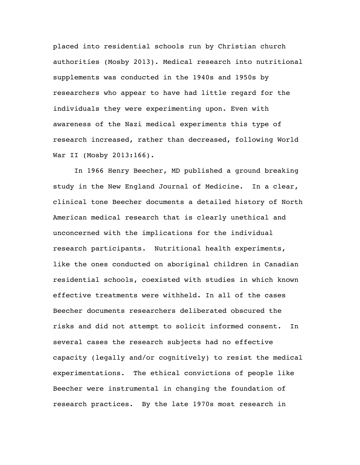placed into residential schools run by Christian church authorities (Mosby 2013). Medical research into nutritional supplements was conducted in the 1940s and 1950s by researchers who appear to have had little regard for the individuals they were experimenting upon. Even with awareness of the Nazi medical experiments this type of research increased, rather than decreased, following World War II (Mosby 2013:166).

In 1966 Henry Beecher, MD published a ground breaking study in the New England Journal of Medicine. In a clear, clinical tone Beecher documents a detailed history of North American medical research that is clearly unethical and unconcerned with the implications for the individual research participants. Nutritional health experiments, like the ones conducted on aboriginal children in Canadian residential schools, coexisted with studies in which known effective treatments were withheld. In all of the cases Beecher documents researchers deliberated obscured the risks and did not attempt to solicit informed consent. In several cases the research subjects had no effective capacity (legally and/or cognitively) to resist the medical experimentations. The ethical convictions of people like Beecher were instrumental in changing the foundation of research practices. By the late 1970s most research in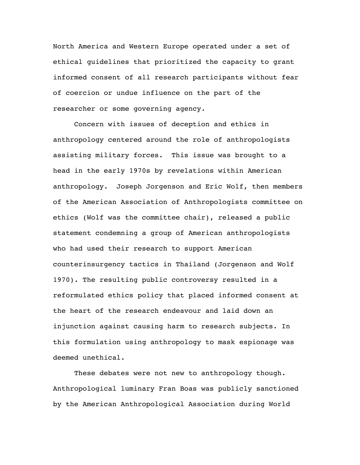North America and Western Europe operated under a set of ethical guidelines that prioritized the capacity to grant informed consent of all research participants without fear of coercion or undue influence on the part of the researcher or some governing agency.

Concern with issues of deception and ethics in anthropology centered around the role of anthropologists assisting military forces. This issue was brought to a head in the early 1970s by revelations within American anthropology. Joseph Jorgenson and Eric Wolf, then members of the American Association of Anthropologists committee on ethics (Wolf was the committee chair), released a public statement condemning a group of American anthropologists who had used their research to support American counterinsurgency tactics in Thailand (Jorgenson and Wolf 1970). The resulting public controversy resulted in a reformulated ethics policy that placed informed consent at the heart of the research endeavour and laid down an injunction against causing harm to research subjects. In this formulation using anthropology to mask espionage was deemed unethical.

These debates were not new to anthropology though. Anthropological luminary Fran Boas was publicly sanctioned by the American Anthropological Association during World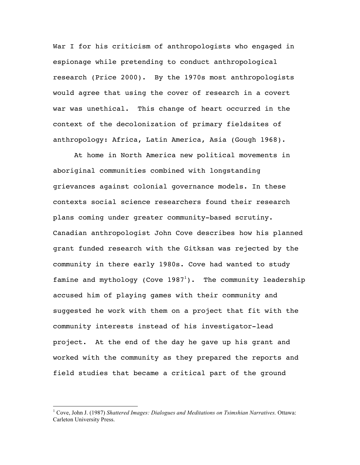War I for his criticism of anthropologists who engaged in espionage while pretending to conduct anthropological research (Price 2000). By the 1970s most anthropologists would agree that using the cover of research in a covert war was unethical. This change of heart occurred in the context of the decolonization of primary fieldsites of anthropology: Africa, Latin America, Asia (Gough 1968).

At home in North America new political movements in aboriginal communities combined with longstanding grievances against colonial governance models. In these contexts social science researchers found their research plans coming under greater community-based scrutiny. Canadian anthropologist John Cove describes how his planned grant funded research with the Gitksan was rejected by the community in there early 1980s. Cove had wanted to study famine and mythology (Cove  $1987<sup>1</sup>$ ). The community leadership accused him of playing games with their community and suggested he work with them on a project that fit with the community interests instead of his investigator-lead project. At the end of the day he gave up his grant and worked with the community as they prepared the reports and field studies that became a critical part of the ground

 <sup>1</sup> Cove, John J. (1987) *Shattered Images: Dialogues and Meditations on Tsimshian Narratives.* Ottawa: Carleton University Press.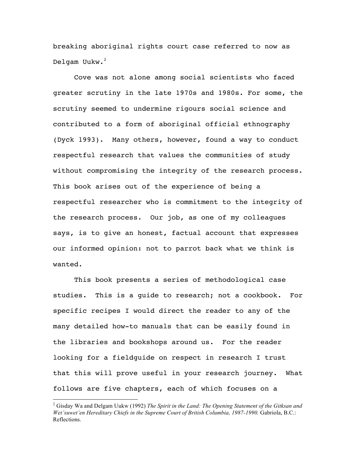breaking aboriginal rights court case referred to now as Delgam Uukw.<sup>2</sup>

Cove was not alone among social scientists who faced greater scrutiny in the late 1970s and 1980s. For some, the scrutiny seemed to undermine rigours social science and contributed to a form of aboriginal official ethnography (Dyck 1993). Many others, however, found a way to conduct respectful research that values the communities of study without compromising the integrity of the research process. This book arises out of the experience of being a respectful researcher who is commitment to the integrity of the research process. Our job, as one of my colleagues says, is to give an honest, factual account that expresses our informed opinion: not to parrot back what we think is wanted.

This book presents a series of methodological case studies. This is a guide to research; not a cookbook. For specific recipes I would direct the reader to any of the many detailed how-to manuals that can be easily found in the libraries and bookshops around us. For the reader looking for a fieldguide on respect in research I trust that this will prove useful in your research journey. What follows are five chapters, each of which focuses on a

 <sup>2</sup> Gisday Wa and Delgam Uukw (1992) *The Spirit in the Land: The Opening Statement of the Gitksan and Wet'suwet'en Hereditary Chiefs in the Supreme Court of British Columbia, 1987-1990.* Gabriola, B.C.: Reflections.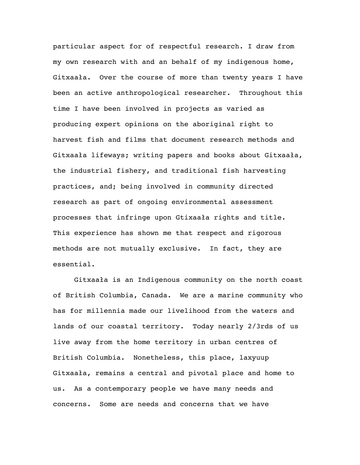particular aspect for of respectful research. I draw from my own research with and an behalf of my indigenous home, Gitxaała. Over the course of more than twenty years I have been an active anthropological researcher. Throughout this time I have been involved in projects as varied as producing expert opinions on the aboriginal right to harvest fish and films that document research methods and Gitxaała lifeways; writing papers and books about Gitxaała, the industrial fishery, and traditional fish harvesting practices, and; being involved in community directed research as part of ongoing environmental assessment processes that infringe upon Gtixaała rights and title. This experience has shown me that respect and rigorous methods are not mutually exclusive. In fact, they are essential.

Gitxaała is an Indigenous community on the north coast of British Columbia, Canada. We are a marine community who has for millennia made our livelihood from the waters and lands of our coastal territory. Today nearly 2/3rds of us live away from the home territory in urban centres of British Columbia. Nonetheless, this place, laxyuup Gitxaała, remains a central and pivotal place and home to us. As a contemporary people we have many needs and concerns. Some are needs and concerns that we have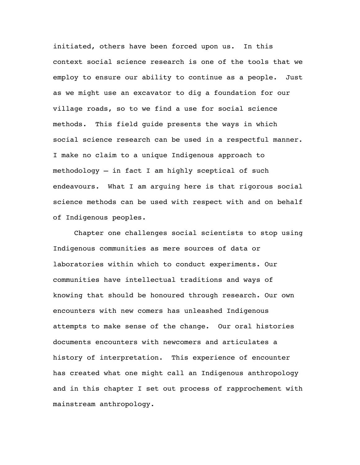initiated, others have been forced upon us. In this context social science research is one of the tools that we employ to ensure our ability to continue as a people. Just as we might use an excavator to dig a foundation for our village roads, so to we find a use for social science methods. This field guide presents the ways in which social science research can be used in a respectful manner. I make no claim to a unique Indigenous approach to methodology – in fact I am highly sceptical of such endeavours. What I am arguing here is that rigorous social science methods can be used with respect with and on behalf of Indigenous peoples.

Chapter one challenges social scientists to stop using Indigenous communities as mere sources of data or laboratories within which to conduct experiments. Our communities have intellectual traditions and ways of knowing that should be honoured through research. Our own encounters with new comers has unleashed Indigenous attempts to make sense of the change. Our oral histories documents encounters with newcomers and articulates a history of interpretation. This experience of encounter has created what one might call an Indigenous anthropology and in this chapter I set out process of rapprochement with mainstream anthropology.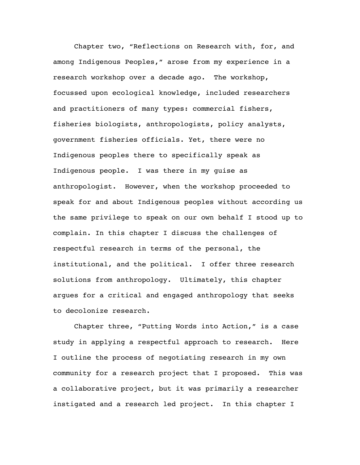Chapter two, "Reflections on Research with, for, and among Indigenous Peoples," arose from my experience in a research workshop over a decade ago. The workshop, focussed upon ecological knowledge, included researchers and practitioners of many types: commercial fishers, fisheries biologists, anthropologists, policy analysts, government fisheries officials. Yet, there were no Indigenous peoples there to specifically speak as Indigenous people. I was there in my guise as anthropologist. However, when the workshop proceeded to speak for and about Indigenous peoples without according us the same privilege to speak on our own behalf I stood up to complain. In this chapter I discuss the challenges of respectful research in terms of the personal, the institutional, and the political. I offer three research solutions from anthropology. Ultimately, this chapter argues for a critical and engaged anthropology that seeks to decolonize research.

Chapter three, "Putting Words into Action," is a case study in applying a respectful approach to research. Here I outline the process of negotiating research in my own community for a research project that I proposed. This was a collaborative project, but it was primarily a researcher instigated and a research led project. In this chapter I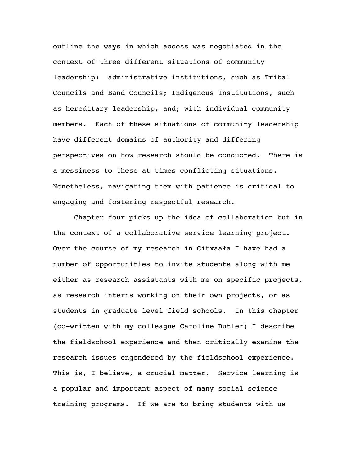outline the ways in which access was negotiated in the context of three different situations of community leadership: administrative institutions, such as Tribal Councils and Band Councils; Indigenous Institutions, such as hereditary leadership, and; with individual community members. Each of these situations of community leadership have different domains of authority and differing perspectives on how research should be conducted. There is a messiness to these at times conflicting situations. Nonetheless, navigating them with patience is critical to engaging and fostering respectful research.

Chapter four picks up the idea of collaboration but in the context of a collaborative service learning project. Over the course of my research in Gitxaała I have had a number of opportunities to invite students along with me either as research assistants with me on specific projects, as research interns working on their own projects, or as students in graduate level field schools. In this chapter (co-written with my colleague Caroline Butler) I describe the fieldschool experience and then critically examine the research issues engendered by the fieldschool experience. This is, I believe, a crucial matter. Service learning is a popular and important aspect of many social science training programs. If we are to bring students with us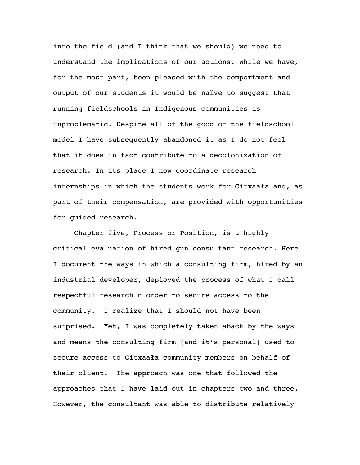into the field (and I think that we should) we need to understand the implications of our actions. While we have, for the most part, been pleased with the comportment and output of our students it would be naïve to suggest that running fieldschools in Indigenous communities is unproblematic. Despite all of the good of the fieldschool model I have subsequently abandoned it as I do not feel that it does in fact contribute to a decolonization of research. In its place I now coordinate research internships in which the students work for Gitxaała and, as part of their compensation, are provided with opportunities for guided research.

Chapter five, Process or Position, is a highly critical evaluation of hired gun consultant research. Here I document the ways in which a consulting firm, hired by an industrial developer, deployed the process of what I call respectful research n order to secure access to the community. I realize that I should not have been surprised. Yet, I was completely taken aback by the ways and means the consulting firm (and it's personal) used to secure access to Gitxaała community members on behalf of their client. The approach was one that followed the approaches that I have laid out in chapters two and three. However, the consultant was able to distribute relatively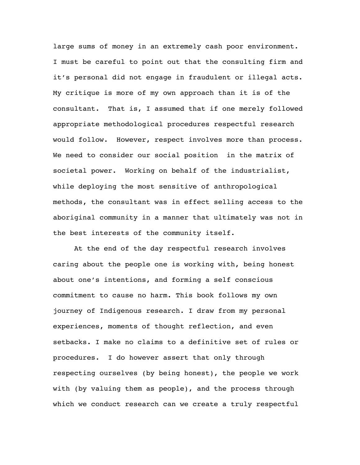large sums of money in an extremely cash poor environment. I must be careful to point out that the consulting firm and it's personal did not engage in fraudulent or illegal acts. My critique is more of my own approach than it is of the consultant. That is, I assumed that if one merely followed appropriate methodological procedures respectful research would follow. However, respect involves more than process. We need to consider our social position in the matrix of societal power. Working on behalf of the industrialist, while deploying the most sensitive of anthropological methods, the consultant was in effect selling access to the aboriginal community in a manner that ultimately was not in the best interests of the community itself.

At the end of the day respectful research involves caring about the people one is working with, being honest about one's intentions, and forming a self conscious commitment to cause no harm. This book follows my own journey of Indigenous research. I draw from my personal experiences, moments of thought reflection, and even setbacks. I make no claims to a definitive set of rules or procedures. I do however assert that only through respecting ourselves (by being honest), the people we work with (by valuing them as people), and the process through which we conduct research can we create a truly respectful